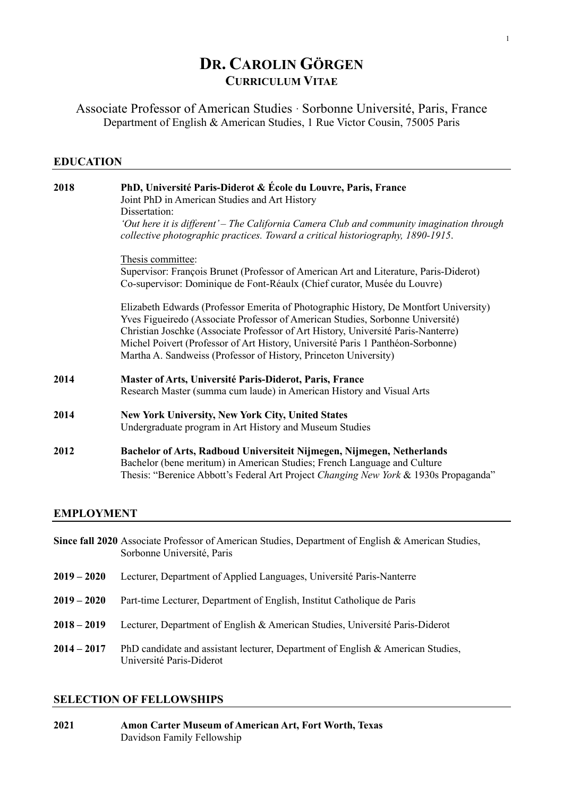# **DR. CAROLIN GÖRGEN CURRICULUM VITAE**

Associate Professor of American Studies · Sorbonne Université, Paris, France Department of English & American Studies, 1 Rue Victor Cousin, 75005 Paris

# **EDUCATION**

| 2018 | PhD, Université Paris-Diderot & École du Louvre, Paris, France<br>Joint PhD in American Studies and Art History<br>Dissertation:                                                                                                                                                                                                                                                                                    |
|------|---------------------------------------------------------------------------------------------------------------------------------------------------------------------------------------------------------------------------------------------------------------------------------------------------------------------------------------------------------------------------------------------------------------------|
|      | 'Out here it is different' – The California Camera Club and community imagination through<br>collective photographic practices. Toward a critical historiography, 1890-1915.                                                                                                                                                                                                                                        |
|      | Thesis committee:                                                                                                                                                                                                                                                                                                                                                                                                   |
|      | Supervisor: François Brunet (Professor of American Art and Literature, Paris-Diderot)<br>Co-supervisor: Dominique de Font-Réaulx (Chief curator, Musée du Louvre)                                                                                                                                                                                                                                                   |
|      | Elizabeth Edwards (Professor Emerita of Photographic History, De Montfort University)<br>Yves Figueiredo (Associate Professor of American Studies, Sorbonne Université)<br>Christian Joschke (Associate Professor of Art History, Université Paris-Nanterre)<br>Michel Poivert (Professor of Art History, Université Paris 1 Panthéon-Sorbonne)<br>Martha A. Sandweiss (Professor of History, Princeton University) |
| 2014 | Master of Arts, Université Paris-Diderot, Paris, France<br>Research Master (summa cum laude) in American History and Visual Arts                                                                                                                                                                                                                                                                                    |
| 2014 | New York University, New York City, United States<br>Undergraduate program in Art History and Museum Studies                                                                                                                                                                                                                                                                                                        |
| 2012 | Bachelor of Arts, Radboud Universiteit Nijmegen, Nijmegen, Netherlands<br>Bachelor (bene meritum) in American Studies; French Language and Culture<br>Thesis: "Berenice Abbott's Federal Art Project Changing New York & 1930s Propaganda"                                                                                                                                                                          |
|      |                                                                                                                                                                                                                                                                                                                                                                                                                     |

# **EMPLOYMENT**

|               | Since fall 2020 Associate Professor of American Studies, Department of English & American Studies,<br>Sorbonne Université, Paris |
|---------------|----------------------------------------------------------------------------------------------------------------------------------|
| $2019 - 2020$ | Lecturer, Department of Applied Languages, Université Paris-Nanterre                                                             |
| $2019 - 2020$ | Part-time Lecturer, Department of English, Institut Catholique de Paris                                                          |
| $2018 - 2019$ | Lecturer, Department of English & American Studies, Université Paris-Diderot                                                     |
| $2014 - 2017$ | PhD candidate and assistant lecturer, Department of English & American Studies,<br>Université Paris-Diderot                      |

# **SELECTION OF FELLOWSHIPS**

| 2021 | Amon Carter Museum of American Art, Fort Worth, Texas |
|------|-------------------------------------------------------|
|      | Davidson Family Fellowship                            |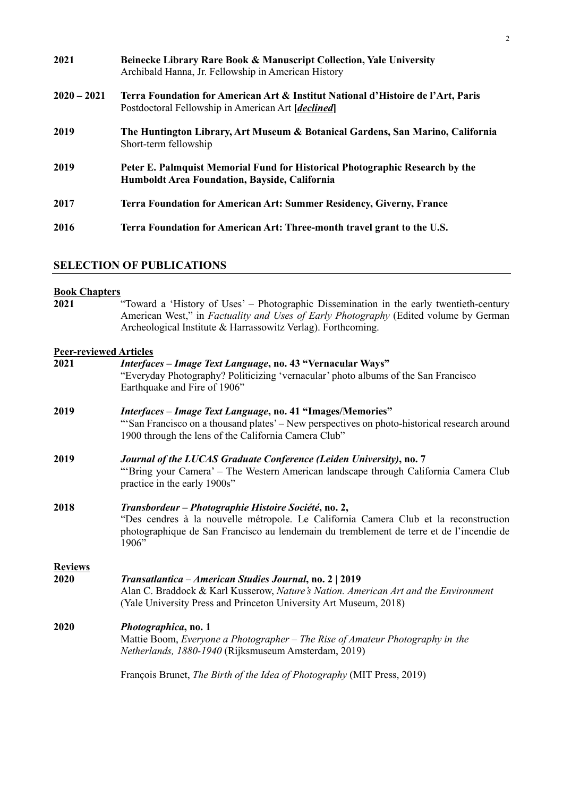| 2021          | Beinecke Library Rare Book & Manuscript Collection, Yale University<br>Archibald Hanna, Jr. Fellowship in American History             |
|---------------|----------------------------------------------------------------------------------------------------------------------------------------|
| $2020 - 2021$ | Terra Foundation for American Art & Institut National d'Histoire de l'Art, Paris<br>Postdoctoral Fellowship in American Art [declined] |
| 2019          | The Huntington Library, Art Museum & Botanical Gardens, San Marino, California<br>Short-term fellowship                                |
| 2019          | Peter E. Palmquist Memorial Fund for Historical Photographic Research by the<br><b>Humboldt Area Foundation, Bayside, California</b>   |
| 2017          | <b>Terra Foundation for American Art: Summer Residency, Giverny, France</b>                                                            |
| 2016          | Terra Foundation for American Art: Three-month travel grant to the U.S.                                                                |

### **SELECTION OF PUBLICATIONS**

#### **Book Chapters**

**2021** "Toward a 'History of Uses' – Photographic Dissemination in the early twentieth-century American West," in *Factuality and Uses of Early Photography* (Edited volume by German Archeological Institute & Harrassowitz Verlag). Forthcoming.

## **Peer-reviewed Articles**

| 2021                   | Interfaces - Image Text Language, no. 43 "Vernacular Ways"<br>"Everyday Photography? Politicizing 'vernacular' photo albums of the San Francisco<br>Earthquake and Fire of 1906"                                                                  |
|------------------------|---------------------------------------------------------------------------------------------------------------------------------------------------------------------------------------------------------------------------------------------------|
| 2019                   | <i>Interfaces – Image Text Language</i> , no. 41 "Images/Memories"<br>"San Francisco on a thousand plates' – New perspectives on photo-historical research around<br>1900 through the lens of the California Camera Club"                         |
| 2019                   | Journal of the LUCAS Graduate Conference (Leiden University), no. 7<br>"Bring your Camera' – The Western American landscape through California Camera Club<br>practice in the early 1900s"                                                        |
| 2018                   | Transbordeur – Photographie Histoire Société, no. 2,<br>"Des cendres à la nouvelle métropole. Le California Camera Club et la reconstruction<br>photographique de San Francisco au lendemain du tremblement de terre et de l'incendie de<br>1906" |
| <b>Reviews</b><br>2020 | Transatlantica – American Studies Journal, no. 2   2019<br>Alan C. Braddock & Karl Kusserow, Nature's Nation. American Art and the Environment<br>(Yale University Press and Princeton University Art Museum, 2018)                               |
| 2020                   | Photographica, no. 1<br>Mattie Boom, Everyone a Photographer – The Rise of Amateur Photography in the<br>Netherlands, 1880-1940 (Rijksmuseum Amsterdam, 2019)                                                                                     |
|                        | François Brunet, The Birth of the Idea of Photography (MIT Press, 2019)                                                                                                                                                                           |